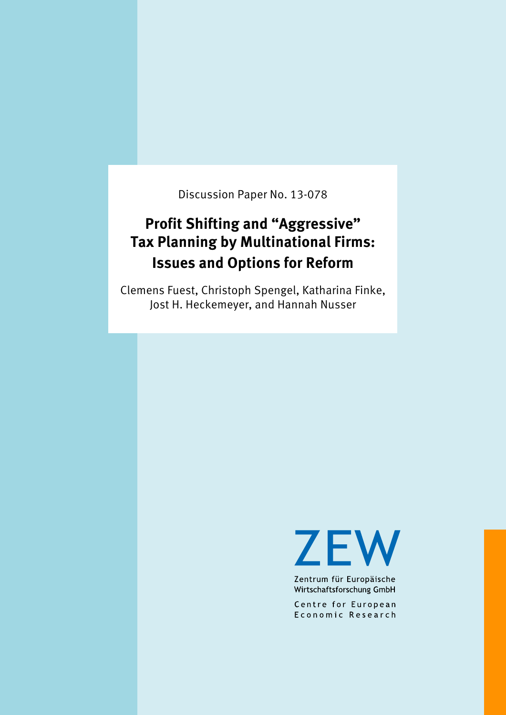Discussion Paper No. 13-078

# **Profit Shifting and "Aggressive" Tax Planning by Multinational Firms: Issues and Options for Reform**

Clemens Fuest, Christoph Spengel, Katharina Finke, Jost H. Heckemeyer, and Hannah Nusser

**ZEW** 

Zentrum für Europäische Wirtschaftsforschung GmbH

Centre for European Economic Research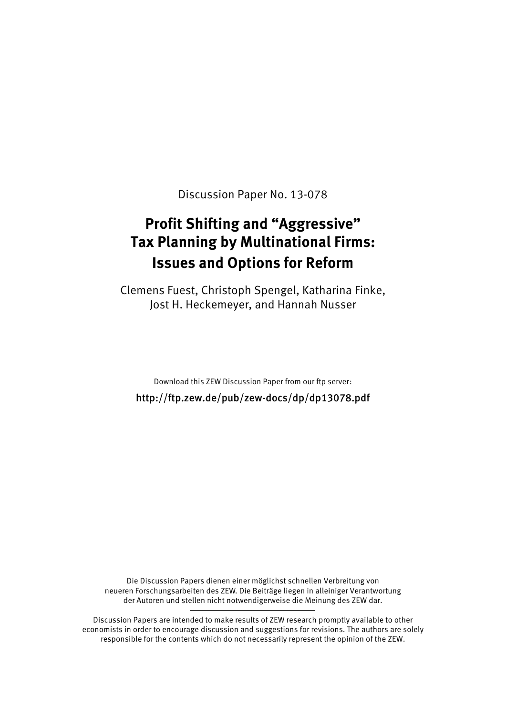Discussion Paper No. 13-078

# **Profit Shifting and "Aggressive" Tax Planning by Multinational Firms: Issues and Options for Reform**

Clemens Fuest, Christoph Spengel, Katharina Finke, Jost H. Heckemeyer, and Hannah Nusser

Download this ZEW Discussion Paper from our ftp server: http://ftp.zew.de/pub/zew-docs/dp/dp13078.pdf

Die Discussion Papers dienen einer möglichst schnellen Verbreitung von neueren Forschungsarbeiten des ZEW. Die Beiträge liegen in alleiniger Verantwortung der Autoren und stellen nicht notwendigerweise die Meinung des ZEW dar.

Discussion Papers are intended to make results of ZEW research promptly available to other economists in order to encourage discussion and suggestions for revisions. The authors are solely responsible for the contents which do not necessarily represent the opinion of the ZEW.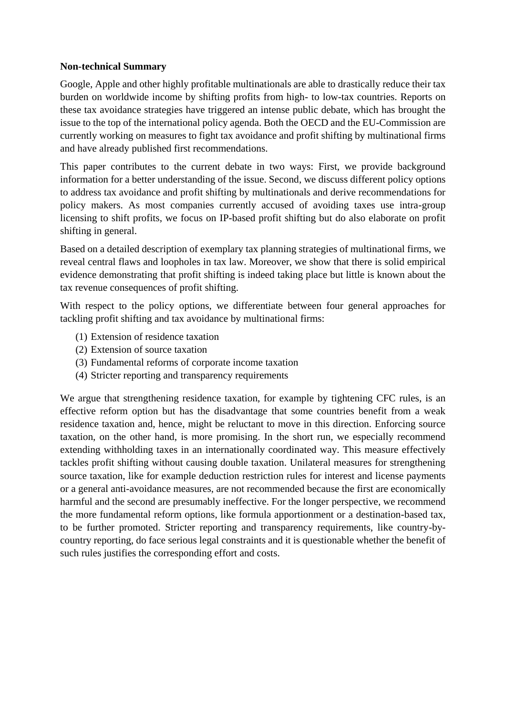# **Non-technical Summary**

Google, Apple and other highly profitable multinationals are able to drastically reduce their tax burden on worldwide income by shifting profits from high- to low-tax countries. Reports on these tax avoidance strategies have triggered an intense public debate, which has brought the issue to the top of the international policy agenda. Both the OECD and the EU-Commission are currently working on measures to fight tax avoidance and profit shifting by multinational firms and have already published first recommendations.

This paper contributes to the current debate in two ways: First, we provide background information for a better understanding of the issue. Second, we discuss different policy options to address tax avoidance and profit shifting by multinationals and derive recommendations for policy makers. As most companies currently accused of avoiding taxes use intra-group licensing to shift profits, we focus on IP-based profit shifting but do also elaborate on profit shifting in general.

Based on a detailed description of exemplary tax planning strategies of multinational firms, we reveal central flaws and loopholes in tax law. Moreover, we show that there is solid empirical evidence demonstrating that profit shifting is indeed taking place but little is known about the tax revenue consequences of profit shifting.

With respect to the policy options, we differentiate between four general approaches for tackling profit shifting and tax avoidance by multinational firms:

- (1) Extension of residence taxation
- (2) Extension of source taxation
- (3) Fundamental reforms of corporate income taxation
- (4) Stricter reporting and transparency requirements

We argue that strengthening residence taxation, for example by tightening CFC rules, is an effective reform option but has the disadvantage that some countries benefit from a weak residence taxation and, hence, might be reluctant to move in this direction. Enforcing source taxation, on the other hand, is more promising. In the short run, we especially recommend extending withholding taxes in an internationally coordinated way. This measure effectively tackles profit shifting without causing double taxation. Unilateral measures for strengthening source taxation, like for example deduction restriction rules for interest and license payments or a general anti-avoidance measures, are not recommended because the first are economically harmful and the second are presumably ineffective. For the longer perspective, we recommend the more fundamental reform options, like formula apportionment or a destination-based tax, to be further promoted. Stricter reporting and transparency requirements, like country-bycountry reporting, do face serious legal constraints and it is questionable whether the benefit of such rules justifies the corresponding effort and costs.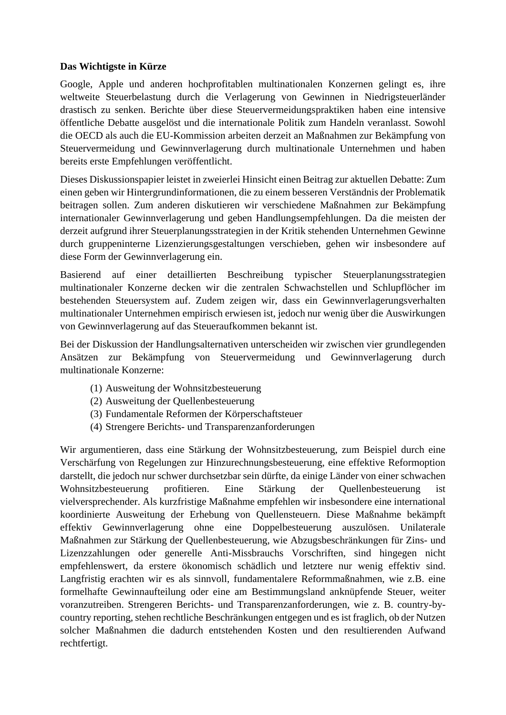## **Das Wichtigste in Kürze**

Google, Apple und anderen hochprofitablen multinationalen Konzernen gelingt es, ihre weltweite Steuerbelastung durch die Verlagerung von Gewinnen in Niedrigsteuerländer drastisch zu senken. Berichte über diese Steuervermeidungspraktiken haben eine intensive öffentliche Debatte ausgelöst und die internationale Politik zum Handeln veranlasst. Sowohl die OECD als auch die EU-Kommission arbeiten derzeit an Maßnahmen zur Bekämpfung von Steuervermeidung und Gewinnverlagerung durch multinationale Unternehmen und haben bereits erste Empfehlungen veröffentlicht.

Dieses Diskussionspapier leistet in zweierlei Hinsicht einen Beitrag zur aktuellen Debatte: Zum einen geben wir Hintergrundinformationen, die zu einem besseren Verständnis der Problematik beitragen sollen. Zum anderen diskutieren wir verschiedene Maßnahmen zur Bekämpfung internationaler Gewinnverlagerung und geben Handlungsempfehlungen. Da die meisten der derzeit aufgrund ihrer Steuerplanungsstrategien in der Kritik stehenden Unternehmen Gewinne durch gruppeninterne Lizenzierungsgestaltungen verschieben, gehen wir insbesondere auf diese Form der Gewinnverlagerung ein.

Basierend auf einer detaillierten Beschreibung typischer Steuerplanungsstrategien multinationaler Konzerne decken wir die zentralen Schwachstellen und Schlupflöcher im bestehenden Steuersystem auf. Zudem zeigen wir, dass ein Gewinnverlagerungsverhalten multinationaler Unternehmen empirisch erwiesen ist, jedoch nur wenig über die Auswirkungen von Gewinnverlagerung auf das Steueraufkommen bekannt ist.

Bei der Diskussion der Handlungsalternativen unterscheiden wir zwischen vier grundlegenden Ansätzen zur Bekämpfung von Steuervermeidung und Gewinnverlagerung durch multinationale Konzerne:

- (1) Ausweitung der Wohnsitzbesteuerung
- (2) Ausweitung der Quellenbesteuerung
- (3) Fundamentale Reformen der Körperschaftsteuer
- (4) Strengere Berichts- und Transparenzanforderungen

Wir argumentieren, dass eine Stärkung der Wohnsitzbesteuerung, zum Beispiel durch eine Verschärfung von Regelungen zur Hinzurechnungsbesteuerung, eine effektive Reformoption darstellt, die jedoch nur schwer durchsetzbar sein dürfte, da einige Länder von einer schwachen Wohnsitzbesteuerung profitieren. Eine Stärkung der Quellenbesteuerung vielversprechender. Als kurzfristige Maßnahme empfehlen wir insbesondere eine international koordinierte Ausweitung der Erhebung von Quellensteuern. Diese Maßnahme bekämpft effektiv Gewinnverlagerung ohne eine Doppelbesteuerung auszulösen. Unilaterale Maßnahmen zur Stärkung der Quellenbesteuerung, wie Abzugsbeschränkungen für Zins- und Lizenzzahlungen oder generelle Anti-Missbrauchs Vorschriften, sind hingegen nicht empfehlenswert, da erstere ökonomisch schädlich und letztere nur wenig effektiv sind. Langfristig erachten wir es als sinnvoll, fundamentalere Reformmaßnahmen, wie z.B. eine formelhafte Gewinnaufteilung oder eine am Bestimmungsland anknüpfende Steuer, weiter voranzutreiben. Strengeren Berichts- und Transparenzanforderungen, wie z. B. country-bycountry reporting, stehen rechtliche Beschränkungen entgegen und es ist fraglich, ob der Nutzen solcher Maßnahmen die dadurch entstehenden Kosten und den resultierenden Aufwand rechtfertigt.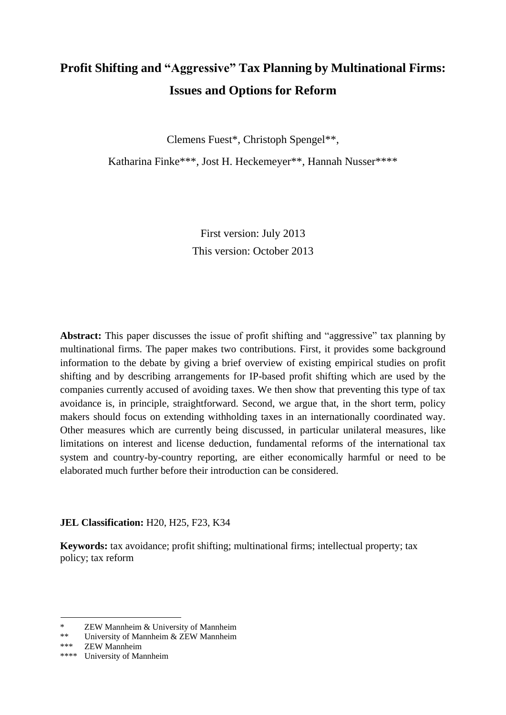# **Profit Shifting and "Aggressive" Tax Planning by Multinational Firms: Issues and Options for Reform**

Clemens Fuest\*, Christoph Spengel\*\*,

Katharina Finke\*\*\*, Jost H. Heckemeyer\*\*, Hannah Nusser\*\*\*\*

First version: July 2013 This version: October 2013

**Abstract:** This paper discusses the issue of profit shifting and "aggressive" tax planning by multinational firms. The paper makes two contributions. First, it provides some background information to the debate by giving a brief overview of existing empirical studies on profit shifting and by describing arrangements for IP-based profit shifting which are used by the companies currently accused of avoiding taxes. We then show that preventing this type of tax avoidance is, in principle, straightforward. Second, we argue that, in the short term, policy makers should focus on extending withholding taxes in an internationally coordinated way. Other measures which are currently being discussed, in particular unilateral measures, like limitations on interest and license deduction, fundamental reforms of the international tax system and country-by-country reporting, are either economically harmful or need to be elaborated much further before their introduction can be considered.

**JEL Classification:** H20, H25, F23, K34

**Keywords:** tax avoidance; profit shifting; multinational firms; intellectual property; tax policy; tax reform

<sup>\*</sup> ZEW Mannheim & University of Mannheim

<sup>\*\*</sup> University of Mannheim & ZEW Mannheim

<sup>\*\*\*</sup> ZEW Mannheim

<sup>\*\*\*\*</sup> University of Mannheim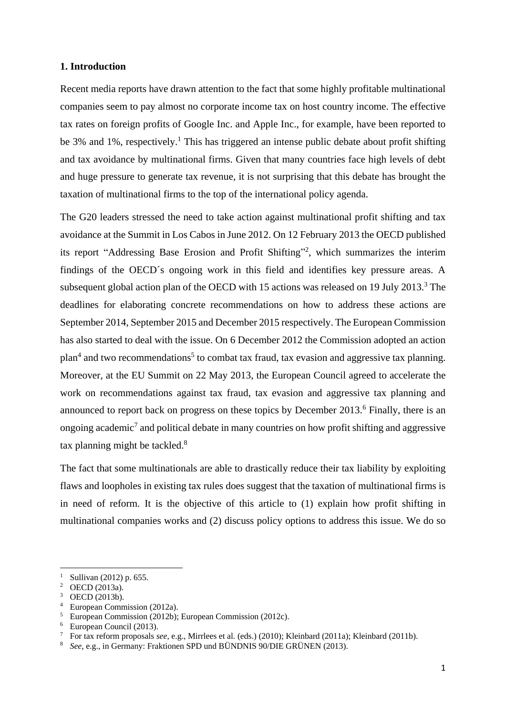#### **1. Introduction**

Recent media reports have drawn attention to the fact that some highly profitable multinational companies seem to pay almost no corporate income tax on host country income. The effective tax rates on foreign profits of Google Inc. and Apple Inc., for example, have been reported to be 3% and 1%, respectively.<sup>1</sup> This has triggered an intense public debate about profit shifting and tax avoidance by multinational firms. Given that many countries face high levels of debt and huge pressure to generate tax revenue, it is not surprising that this debate has brought the taxation of multinational firms to the top of the international policy agenda.

The G20 leaders stressed the need to take action against multinational profit shifting and tax avoidance at the Summit in Los Cabos in June 2012. On 12 February 2013 the OECD published its report "Addressing Base Erosion and Profit Shifting"<sup>2</sup>, which summarizes the interim findings of the OECD´s ongoing work in this field and identifies key pressure areas. A subsequent global action plan of the OECD with 15 actions was released on 19 July 2013.<sup>3</sup> The deadlines for elaborating concrete recommendations on how to address these actions are September 2014, September 2015 and December 2015 respectively. The European Commission has also started to deal with the issue. On 6 December 2012 the Commission adopted an action plan<sup>4</sup> and two recommendations<sup>5</sup> to combat tax fraud, tax evasion and aggressive tax planning. Moreover, at the EU Summit on 22 May 2013, the European Council agreed to accelerate the work on recommendations against tax fraud, tax evasion and aggressive tax planning and announced to report back on progress on these topics by December  $2013<sup>6</sup>$  Finally, there is an ongoing academic<sup>7</sup> and political debate in many countries on how profit shifting and aggressive tax planning might be tackled.<sup>8</sup>

The fact that some multinationals are able to drastically reduce their tax liability by exploiting flaws and loopholes in existing tax rules does suggest that the taxation of multinational firms is in need of reform. It is the objective of this article to (1) explain how profit shifting in multinational companies works and (2) discuss policy options to address this issue. We do so

<sup>&</sup>lt;sup>1</sup> Sullivan (2012) p. 655.<br><sup>2</sup> OECD (2013)

OECD (2013a).

 $\frac{3}{4}$  OECD (2013b).

<sup>&</sup>lt;sup>4</sup> European Commission (2012a).<br><sup>5</sup> European Commission (2012b);

<sup>5</sup> European Commission (2012b); European Commission (2012c).

<sup>6</sup> European Council (2013).

<sup>7</sup> For tax reform proposals *see,* e.g., Mirrlees et al. (eds.) (2010); Kleinbard (2011a); Kleinbard (2011b).

<sup>8</sup> *See*, e.g., in Germany: Fraktionen SPD und BÜNDNIS 90/DIE GRÜNEN (2013).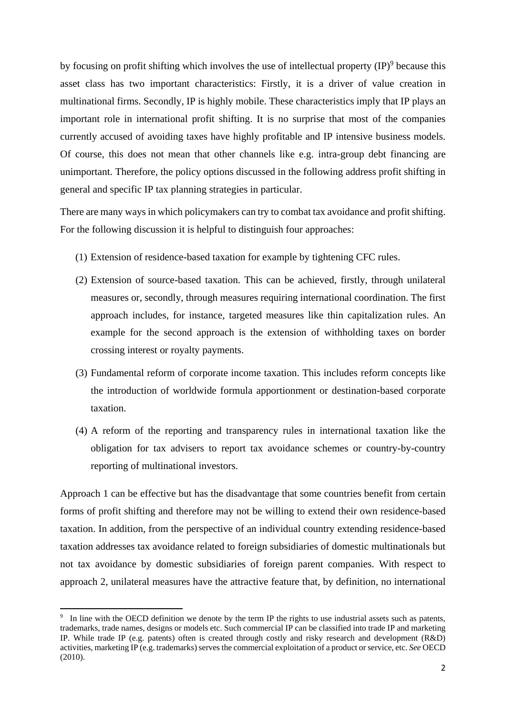by focusing on profit shifting which involves the use of intellectual property  $(\text{IP})^9$  because this asset class has two important characteristics: Firstly, it is a driver of value creation in multinational firms. Secondly, IP is highly mobile. These characteristics imply that IP plays an important role in international profit shifting. It is no surprise that most of the companies currently accused of avoiding taxes have highly profitable and IP intensive business models. Of course, this does not mean that other channels like e.g. intra-group debt financing are unimportant. Therefore, the policy options discussed in the following address profit shifting in general and specific IP tax planning strategies in particular.

There are many ways in which policymakers can try to combat tax avoidance and profit shifting. For the following discussion it is helpful to distinguish four approaches:

- (1) Extension of residence-based taxation for example by tightening CFC rules.
- (2) Extension of source-based taxation. This can be achieved, firstly, through unilateral measures or, secondly, through measures requiring international coordination. The first approach includes, for instance, targeted measures like thin capitalization rules. An example for the second approach is the extension of withholding taxes on border crossing interest or royalty payments.
- (3) Fundamental reform of corporate income taxation. This includes reform concepts like the introduction of worldwide formula apportionment or destination-based corporate taxation.
- (4) A reform of the reporting and transparency rules in international taxation like the obligation for tax advisers to report tax avoidance schemes or country-by-country reporting of multinational investors.

Approach 1 can be effective but has the disadvantage that some countries benefit from certain forms of profit shifting and therefore may not be willing to extend their own residence-based taxation. In addition, from the perspective of an individual country extending residence-based taxation addresses tax avoidance related to foreign subsidiaries of domestic multinationals but not tax avoidance by domestic subsidiaries of foreign parent companies. With respect to approach 2, unilateral measures have the attractive feature that, by definition, no international

<sup>&</sup>lt;sup>9</sup> In line with the OECD definition we denote by the term IP the rights to use industrial assets such as patents, trademarks, trade names, designs or models etc. Such commercial IP can be classified into trade IP and marketing IP. While trade IP (e.g. patents) often is created through costly and risky research and development (R&D) activities, marketing IP (e.g. trademarks) serves the commercial exploitation of a product or service, etc. *See* OECD (2010).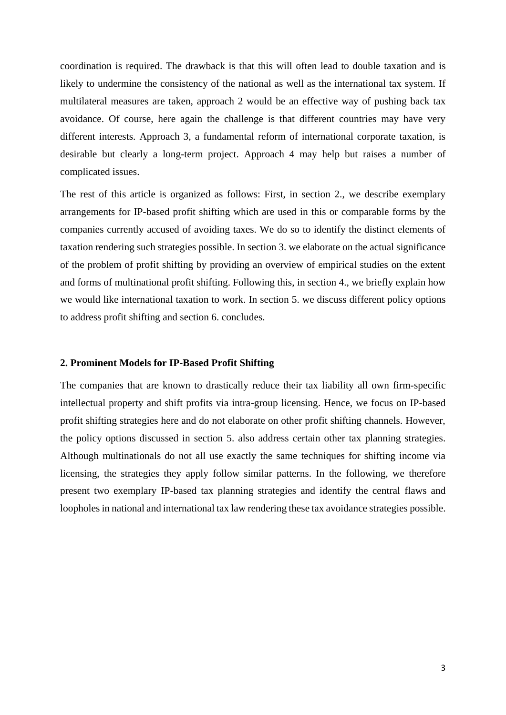coordination is required. The drawback is that this will often lead to double taxation and is likely to undermine the consistency of the national as well as the international tax system. If multilateral measures are taken, approach 2 would be an effective way of pushing back tax avoidance. Of course, here again the challenge is that different countries may have very different interests. Approach 3, a fundamental reform of international corporate taxation, is desirable but clearly a long-term project. Approach 4 may help but raises a number of complicated issues.

The rest of this article is organized as follows: First, in section 2., we describe exemplary arrangements for IP-based profit shifting which are used in this or comparable forms by the companies currently accused of avoiding taxes. We do so to identify the distinct elements of taxation rendering such strategies possible. In section 3. we elaborate on the actual significance of the problem of profit shifting by providing an overview of empirical studies on the extent and forms of multinational profit shifting. Following this, in section 4., we briefly explain how we would like international taxation to work. In section 5. we discuss different policy options to address profit shifting and section 6. concludes.

#### **2. Prominent Models for IP-Based Profit Shifting**

The companies that are known to drastically reduce their tax liability all own firm-specific intellectual property and shift profits via intra-group licensing. Hence, we focus on IP-based profit shifting strategies here and do not elaborate on other profit shifting channels. However, the policy options discussed in section 5. also address certain other tax planning strategies. Although multinationals do not all use exactly the same techniques for shifting income via licensing, the strategies they apply follow similar patterns. In the following, we therefore present two exemplary IP-based tax planning strategies and identify the central flaws and loopholes in national and international tax law rendering these tax avoidance strategies possible.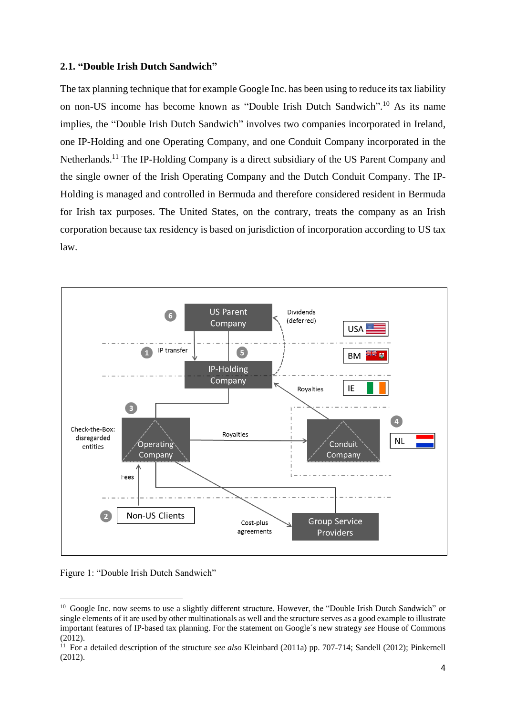#### **2.1. "Double Irish Dutch Sandwich"**

The tax planning technique that for example Google Inc. has been using to reduce its tax liability on non-US income has become known as "Double Irish Dutch Sandwich". <sup>10</sup> As its name implies, the "Double Irish Dutch Sandwich" involves two companies incorporated in Ireland, one IP-Holding and one Operating Company, and one Conduit Company incorporated in the Netherlands.<sup>11</sup> The IP-Holding Company is a direct subsidiary of the US Parent Company and the single owner of the Irish Operating Company and the Dutch Conduit Company. The IP-Holding is managed and controlled in Bermuda and therefore considered resident in Bermuda for Irish tax purposes. The United States, on the contrary, treats the company as an Irish corporation because tax residency is based on jurisdiction of incorporation according to US tax law.



Figure 1: "Double Irish Dutch Sandwich"

**.** 

<sup>&</sup>lt;sup>10</sup> Google Inc. now seems to use a slightly different structure. However, the "Double Irish Dutch Sandwich" or single elements of it are used by other multinationals as well and the structure serves as a good example to illustrate important features of IP-based tax planning. For the statement on Google´s new strategy *see* House of Commons  $(2012)$ .

<sup>&</sup>lt;sup>11</sup> For a detailed description of the structure *see also* Kleinbard (2011a) pp. 707-714; Sandell (2012); Pinkernell (2012).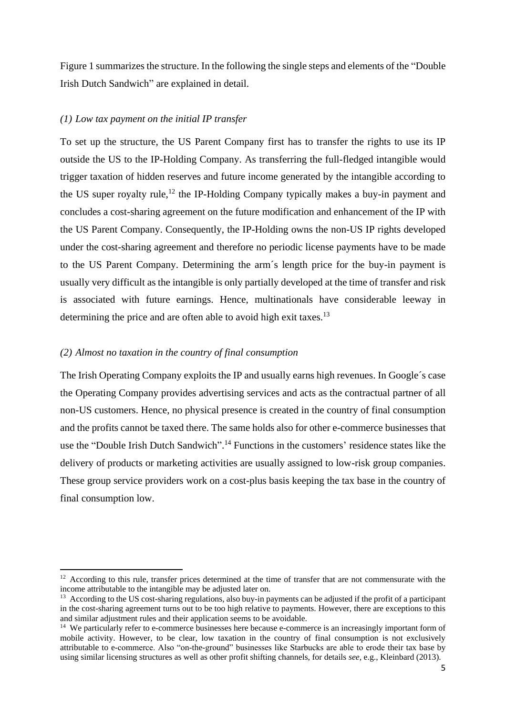Figure 1 summarizes the structure. In the following the single steps and elements of the "Double Irish Dutch Sandwich" are explained in detail.

#### *(1) Low tax payment on the initial IP transfer*

To set up the structure, the US Parent Company first has to transfer the rights to use its IP outside the US to the IP-Holding Company. As transferring the full-fledged intangible would trigger taxation of hidden reserves and future income generated by the intangible according to the US super royalty rule,<sup>12</sup> the IP-Holding Company typically makes a buy-in payment and concludes a cost-sharing agreement on the future modification and enhancement of the IP with the US Parent Company. Consequently, the IP-Holding owns the non-US IP rights developed under the cost-sharing agreement and therefore no periodic license payments have to be made to the US Parent Company. Determining the arm´s length price for the buy-in payment is usually very difficult as the intangible is only partially developed at the time of transfer and risk is associated with future earnings. Hence, multinationals have considerable leeway in determining the price and are often able to avoid high exit taxes.<sup>13</sup>

#### *(2) Almost no taxation in the country of final consumption*

1

The Irish Operating Company exploits the IP and usually earns high revenues. In Google´s case the Operating Company provides advertising services and acts as the contractual partner of all non-US customers. Hence, no physical presence is created in the country of final consumption and the profits cannot be taxed there. The same holds also for other e-commerce businesses that use the "Double Irish Dutch Sandwich".<sup>14</sup> Functions in the customers' residence states like the delivery of products or marketing activities are usually assigned to low-risk group companies. These group service providers work on a cost-plus basis keeping the tax base in the country of final consumption low.

 $12$  According to this rule, transfer prices determined at the time of transfer that are not commensurate with the income attributable to the intangible may be adjusted later on.

<sup>&</sup>lt;sup>13</sup> According to the US cost-sharing regulations, also buy-in payments can be adjusted if the profit of a participant in the cost-sharing agreement turns out to be too high relative to payments. However, there are exceptions to this and similar adjustment rules and their application seems to be avoidable.

<sup>&</sup>lt;sup>14</sup> We particularly refer to e-commerce businesses here because e-commerce is an increasingly important form of mobile activity. However, to be clear, low taxation in the country of final consumption is not exclusively attributable to e-commerce. Also "on-the-ground" businesses like Starbucks are able to erode their tax base by using similar licensing structures as well as other profit shifting channels, for details *see,* e.g., Kleinbard (2013).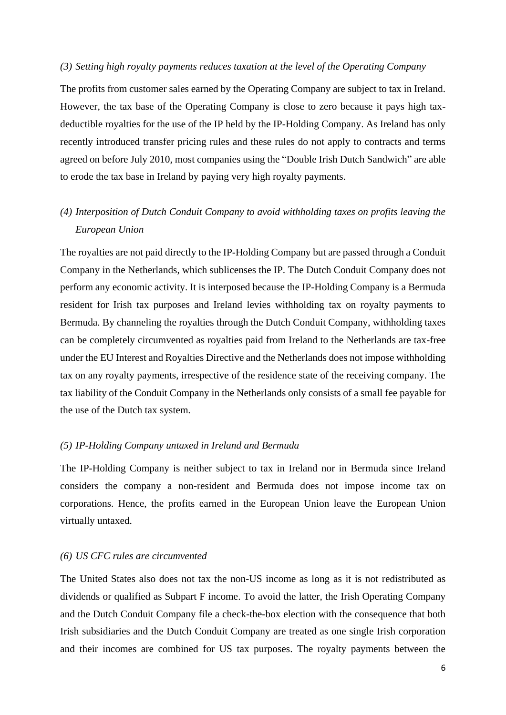#### *(3) Setting high royalty payments reduces taxation at the level of the Operating Company*

The profits from customer sales earned by the Operating Company are subject to tax in Ireland. However, the tax base of the Operating Company is close to zero because it pays high taxdeductible royalties for the use of the IP held by the IP-Holding Company. As Ireland has only recently introduced transfer pricing rules and these rules do not apply to contracts and terms agreed on before July 2010, most companies using the "Double Irish Dutch Sandwich" are able to erode the tax base in Ireland by paying very high royalty payments.

# *(4) Interposition of Dutch Conduit Company to avoid withholding taxes on profits leaving the European Union*

The royalties are not paid directly to the IP-Holding Company but are passed through a Conduit Company in the Netherlands, which sublicenses the IP. The Dutch Conduit Company does not perform any economic activity. It is interposed because the IP-Holding Company is a Bermuda resident for Irish tax purposes and Ireland levies withholding tax on royalty payments to Bermuda. By channeling the royalties through the Dutch Conduit Company, withholding taxes can be completely circumvented as royalties paid from Ireland to the Netherlands are tax-free under the EU Interest and Royalties Directive and the Netherlands does not impose withholding tax on any royalty payments, irrespective of the residence state of the receiving company. The tax liability of the Conduit Company in the Netherlands only consists of a small fee payable for the use of the Dutch tax system.

#### *(5) IP-Holding Company untaxed in Ireland and Bermuda*

The IP-Holding Company is neither subject to tax in Ireland nor in Bermuda since Ireland considers the company a non-resident and Bermuda does not impose income tax on corporations. Hence, the profits earned in the European Union leave the European Union virtually untaxed.

#### *(6) US CFC rules are circumvented*

The United States also does not tax the non-US income as long as it is not redistributed as dividends or qualified as Subpart F income. To avoid the latter, the Irish Operating Company and the Dutch Conduit Company file a check-the-box election with the consequence that both Irish subsidiaries and the Dutch Conduit Company are treated as one single Irish corporation and their incomes are combined for US tax purposes. The royalty payments between the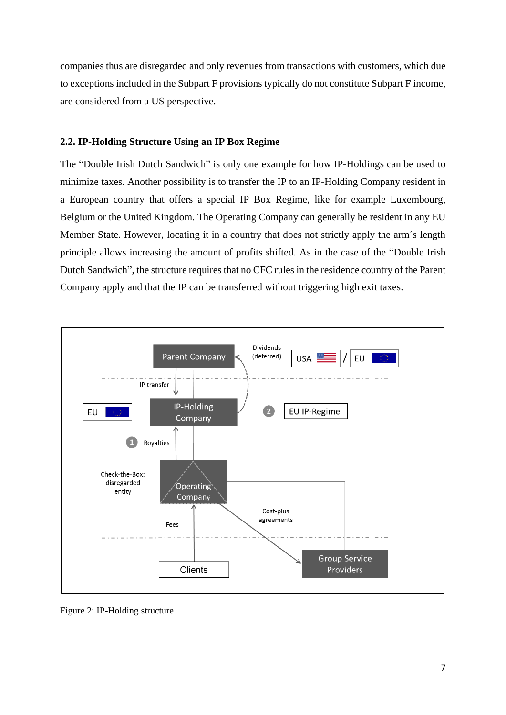companies thus are disregarded and only revenues from transactions with customers, which due to exceptions included in the Subpart F provisions typically do not constitute Subpart F income, are considered from a US perspective.

### **2.2. IP-Holding Structure Using an IP Box Regime**

The "Double Irish Dutch Sandwich" is only one example for how IP-Holdings can be used to minimize taxes. Another possibility is to transfer the IP to an IP-Holding Company resident in a European country that offers a special IP Box Regime, like for example Luxembourg, Belgium or the United Kingdom. The Operating Company can generally be resident in any EU Member State. However, locating it in a country that does not strictly apply the arm's length principle allows increasing the amount of profits shifted. As in the case of the "Double Irish Dutch Sandwich", the structure requires that no CFC rules in the residence country of the Parent Company apply and that the IP can be transferred without triggering high exit taxes.



Figure 2: IP-Holding structure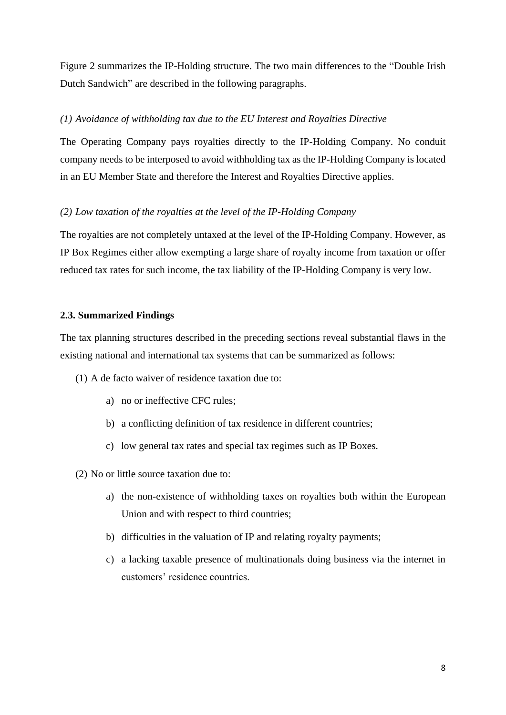Figure 2 summarizes the IP-Holding structure. The two main differences to the "Double Irish Dutch Sandwich" are described in the following paragraphs.

#### *(1) Avoidance of withholding tax due to the EU Interest and Royalties Directive*

The Operating Company pays royalties directly to the IP-Holding Company. No conduit company needs to be interposed to avoid withholding tax as the IP-Holding Company is located in an EU Member State and therefore the Interest and Royalties Directive applies.

#### *(2) Low taxation of the royalties at the level of the IP-Holding Company*

The royalties are not completely untaxed at the level of the IP-Holding Company. However, as IP Box Regimes either allow exempting a large share of royalty income from taxation or offer reduced tax rates for such income, the tax liability of the IP-Holding Company is very low.

#### **2.3. Summarized Findings**

The tax planning structures described in the preceding sections reveal substantial flaws in the existing national and international tax systems that can be summarized as follows:

- (1) A de facto waiver of residence taxation due to:
	- a) no or ineffective CFC rules;
	- b) a conflicting definition of tax residence in different countries;
	- c) low general tax rates and special tax regimes such as IP Boxes.
- (2) No or little source taxation due to:
	- a) the non-existence of withholding taxes on royalties both within the European Union and with respect to third countries;
	- b) difficulties in the valuation of IP and relating royalty payments;
	- c) a lacking taxable presence of multinationals doing business via the internet in customers' residence countries.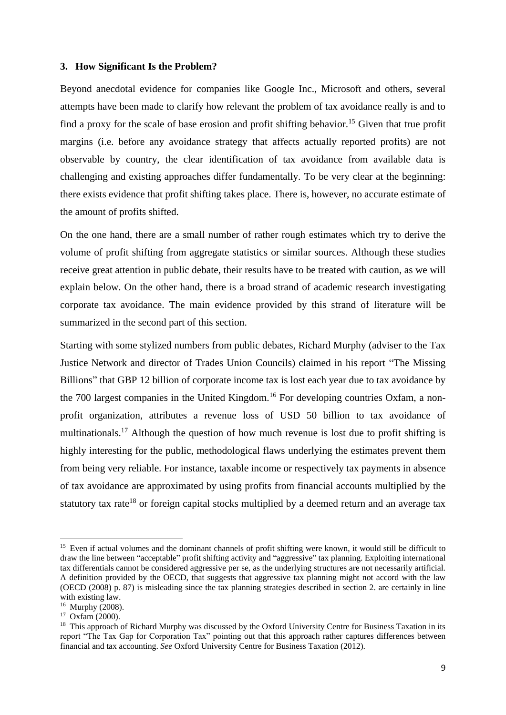#### **3. How Significant Is the Problem?**

Beyond anecdotal evidence for companies like Google Inc., Microsoft and others, several attempts have been made to clarify how relevant the problem of tax avoidance really is and to find a proxy for the scale of base erosion and profit shifting behavior.<sup>15</sup> Given that true profit margins (i.e. before any avoidance strategy that affects actually reported profits) are not observable by country, the clear identification of tax avoidance from available data is challenging and existing approaches differ fundamentally. To be very clear at the beginning: there exists evidence that profit shifting takes place. There is, however, no accurate estimate of the amount of profits shifted.

On the one hand, there are a small number of rather rough estimates which try to derive the volume of profit shifting from aggregate statistics or similar sources. Although these studies receive great attention in public debate, their results have to be treated with caution, as we will explain below. On the other hand, there is a broad strand of academic research investigating corporate tax avoidance. The main evidence provided by this strand of literature will be summarized in the second part of this section.

Starting with some stylized numbers from public debates, Richard Murphy (adviser to the Tax Justice Network and director of Trades Union Councils) claimed in his report "The Missing Billions" that GBP 12 billion of corporate income tax is lost each year due to tax avoidance by the 700 largest companies in the United Kingdom.<sup>16</sup> For developing countries Oxfam, a nonprofit organization, attributes a revenue loss of USD 50 billion to tax avoidance of multinationals.<sup>17</sup> Although the question of how much revenue is lost due to profit shifting is highly interesting for the public, methodological flaws underlying the estimates prevent them from being very reliable. For instance, taxable income or respectively tax payments in absence of tax avoidance are approximated by using profits from financial accounts multiplied by the statutory tax rate<sup>18</sup> or foreign capital stocks multiplied by a deemed return and an average tax

<sup>&</sup>lt;sup>15</sup> Even if actual volumes and the dominant channels of profit shifting were known, it would still be difficult to draw the line between "acceptable" profit shifting activity and "aggressive" tax planning. Exploiting international tax differentials cannot be considered aggressive per se, as the underlying structures are not necessarily artificial. A definition provided by the OECD, that suggests that aggressive tax planning might not accord with the law (OECD (2008) p. 87) is misleading since the tax planning strategies described in section 2. are certainly in line with existing law.

<sup>&</sup>lt;sup>16</sup> Murphy (2008).

<sup>17</sup> Oxfam (2000).

<sup>&</sup>lt;sup>18</sup> This approach of Richard Murphy was discussed by the Oxford University Centre for Business Taxation in its report "The Tax Gap for Corporation Tax" pointing out that this approach rather captures differences between financial and tax accounting. *See* Oxford University Centre for Business Taxation (2012).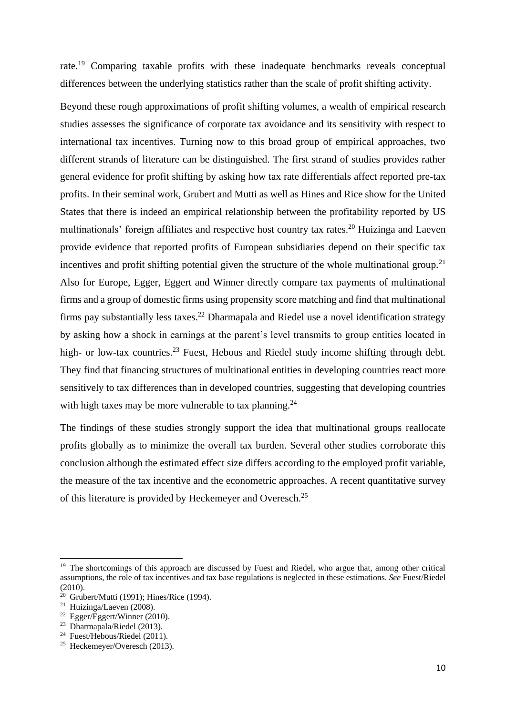rate.<sup>19</sup> Comparing taxable profits with these inadequate benchmarks reveals conceptual differences between the underlying statistics rather than the scale of profit shifting activity.

Beyond these rough approximations of profit shifting volumes, a wealth of empirical research studies assesses the significance of corporate tax avoidance and its sensitivity with respect to international tax incentives. Turning now to this broad group of empirical approaches, two different strands of literature can be distinguished. The first strand of studies provides rather general evidence for profit shifting by asking how tax rate differentials affect reported pre-tax profits. In their seminal work, Grubert and Mutti as well as Hines and Rice show for the United States that there is indeed an empirical relationship between the profitability reported by US multinationals' foreign affiliates and respective host country tax rates.<sup>20</sup> Huizinga and Laeven provide evidence that reported profits of European subsidiaries depend on their specific tax incentives and profit shifting potential given the structure of the whole multinational group.<sup>21</sup> Also for Europe, Egger, Eggert and Winner directly compare tax payments of multinational firms and a group of domestic firms using propensity score matching and find that multinational firms pay substantially less taxes.<sup>22</sup> Dharmapala and Riedel use a novel identification strategy by asking how a shock in earnings at the parent's level transmits to group entities located in high- or low-tax countries.<sup>23</sup> Fuest, Hebous and Riedel study income shifting through debt. They find that financing structures of multinational entities in developing countries react more sensitively to tax differences than in developed countries, suggesting that developing countries with high taxes may be more vulnerable to tax planning.<sup>24</sup>

The findings of these studies strongly support the idea that multinational groups reallocate profits globally as to minimize the overall tax burden. Several other studies corroborate this conclusion although the estimated effect size differs according to the employed profit variable, the measure of the tax incentive and the econometric approaches. A recent quantitative survey of this literature is provided by Heckemeyer and Overesch.<sup>25</sup>

**.** 

<sup>&</sup>lt;sup>19</sup> The shortcomings of this approach are discussed by Fuest and Riedel, who argue that, among other critical assumptions, the role of tax incentives and tax base regulations is neglected in these estimations. *See* Fuest/Riedel (2010).

<sup>&</sup>lt;sup>20</sup> Grubert/Mutti (1991); Hines/Rice (1994).

<sup>21</sup> Huizinga/Laeven (2008).

 $22$  Egger/Eggert/Winner (2010).

<sup>23</sup> Dharmapala/Riedel (2013).

<sup>24</sup> Fuest/Hebous/Riedel (2011).

<sup>25</sup> Heckemeyer/Overesch (2013).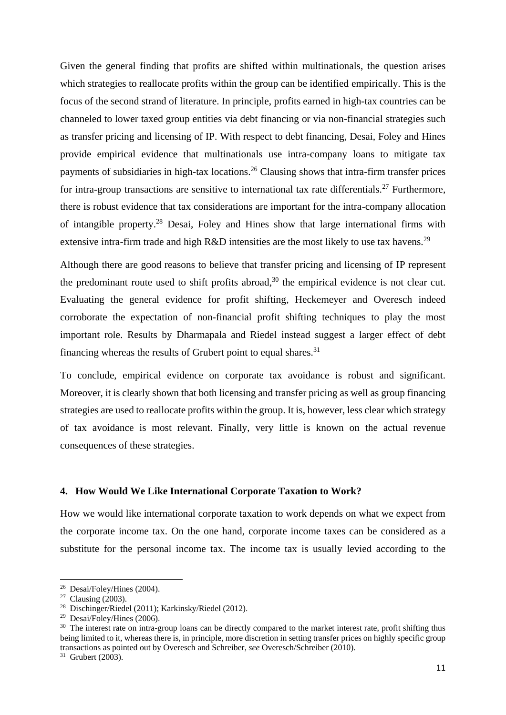Given the general finding that profits are shifted within multinationals, the question arises which strategies to reallocate profits within the group can be identified empirically. This is the focus of the second strand of literature. In principle, profits earned in high-tax countries can be channeled to lower taxed group entities via debt financing or via non-financial strategies such as transfer pricing and licensing of IP. With respect to debt financing, Desai, Foley and Hines provide empirical evidence that multinationals use intra-company loans to mitigate tax payments of subsidiaries in high-tax locations.<sup>26</sup> Clausing shows that intra-firm transfer prices for intra-group transactions are sensitive to international tax rate differentials.<sup>27</sup> Furthermore, there is robust evidence that tax considerations are important for the intra-company allocation of intangible property. <sup>28</sup> Desai, Foley and Hines show that large international firms with extensive intra-firm trade and high R&D intensities are the most likely to use tax havens.<sup>29</sup>

Although there are good reasons to believe that transfer pricing and licensing of IP represent the predominant route used to shift profits abroad, $30$  the empirical evidence is not clear cut. Evaluating the general evidence for profit shifting, Heckemeyer and Overesch indeed corroborate the expectation of non-financial profit shifting techniques to play the most important role. Results by Dharmapala and Riedel instead suggest a larger effect of debt financing whereas the results of Grubert point to equal shares. $31$ 

To conclude, empirical evidence on corporate tax avoidance is robust and significant. Moreover, it is clearly shown that both licensing and transfer pricing as well as group financing strategies are used to reallocate profits within the group. It is, however, less clear which strategy of tax avoidance is most relevant. Finally, very little is known on the actual revenue consequences of these strategies.

#### **4. How Would We Like International Corporate Taxation to Work?**

How we would like international corporate taxation to work depends on what we expect from the corporate income tax. On the one hand, corporate income taxes can be considered as a substitute for the personal income tax. The income tax is usually levied according to the

**.** 

<sup>26</sup> Desai/Foley/Hines (2004).

<sup>&</sup>lt;sup>27</sup> Clausing  $(2003)$ .

<sup>28</sup> Dischinger/Riedel (2011); Karkinsky/Riedel (2012).

<sup>29</sup> Desai/Foley/Hines (2006).

<sup>&</sup>lt;sup>30</sup> The interest rate on intra-group loans can be directly compared to the market interest rate, profit shifting thus being limited to it, whereas there is, in principle, more discretion in setting transfer prices on highly specific group transactions as pointed out by Overesch and Schreiber, *see* Overesch/Schreiber (2010).

 $31$  Grubert (2003).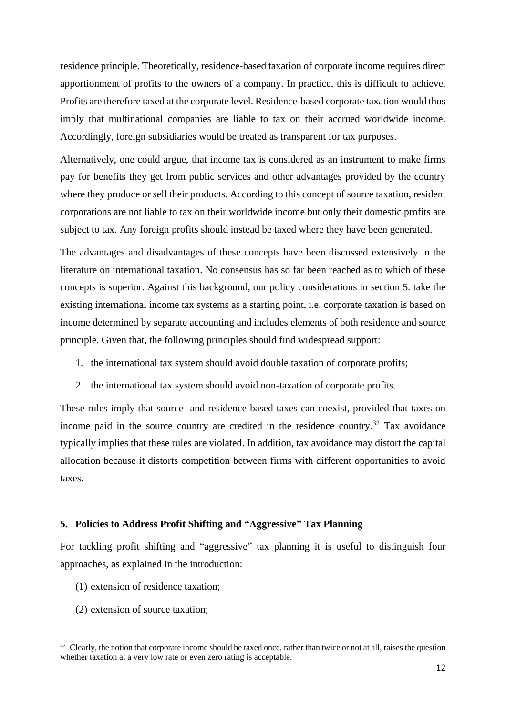residence principle. Theoretically, residence-based taxation of corporate income requires direct apportionment of profits to the owners of a company. In practice, this is difficult to achieve. Profits are therefore taxed at the corporate level. Residence-based corporate taxation would thus imply that multinational companies are liable to tax on their accrued worldwide income. Accordingly, foreign subsidiaries would be treated as transparent for tax purposes.

Alternatively, one could argue, that income tax is considered as an instrument to make firms pay for benefits they get from public services and other advantages provided by the country where they produce or sell their products. According to this concept of source taxation, resident corporations are not liable to tax on their worldwide income but only their domestic profits are subject to tax. Any foreign profits should instead be taxed where they have been generated.

The advantages and disadvantages of these concepts have been discussed extensively in the literature on international taxation. No consensus has so far been reached as to which of these concepts is superior. Against this background, our policy considerations in section 5. take the existing international income tax systems as a starting point, i.e. corporate taxation is based on income determined by separate accounting and includes elements of both residence and source principle. Given that, the following principles should find widespread support:

- 1. the international tax system should avoid double taxation of corporate profits;
- 2. the international tax system should avoid non-taxation of corporate profits.

These rules imply that source- and residence-based taxes can coexist, provided that taxes on income paid in the source country are credited in the residence country.<sup>32</sup> Tax avoidance typically implies that these rules are violated. In addition, tax avoidance may distort the capital allocation because it distorts competition between firms with different opportunities to avoid taxes.

#### **5. Policies to Address Profit Shifting and "Aggressive" Tax Planning**

For tackling profit shifting and "aggressive" tax planning it is useful to distinguish four approaches, as explained in the introduction:

- (1) extension of residence taxation;
- (2) extension of source taxation;

<sup>&</sup>lt;sup>32</sup> Clearly, the notion that corporate income should be taxed once, rather than twice or not at all, raises the question whether taxation at a very low rate or even zero rating is acceptable.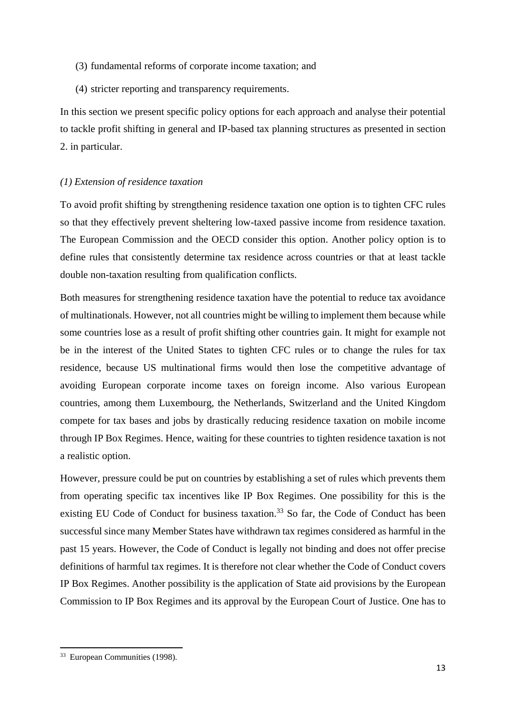- (3) fundamental reforms of corporate income taxation; and
- (4) stricter reporting and transparency requirements.

In this section we present specific policy options for each approach and analyse their potential to tackle profit shifting in general and IP-based tax planning structures as presented in section 2. in particular.

#### *(1) Extension of residence taxation*

To avoid profit shifting by strengthening residence taxation one option is to tighten CFC rules so that they effectively prevent sheltering low-taxed passive income from residence taxation. The European Commission and the OECD consider this option. Another policy option is to define rules that consistently determine tax residence across countries or that at least tackle double non-taxation resulting from qualification conflicts.

Both measures for strengthening residence taxation have the potential to reduce tax avoidance of multinationals. However, not all countries might be willing to implement them because while some countries lose as a result of profit shifting other countries gain. It might for example not be in the interest of the United States to tighten CFC rules or to change the rules for tax residence, because US multinational firms would then lose the competitive advantage of avoiding European corporate income taxes on foreign income. Also various European countries, among them Luxembourg, the Netherlands, Switzerland and the United Kingdom compete for tax bases and jobs by drastically reducing residence taxation on mobile income through IP Box Regimes. Hence, waiting for these countries to tighten residence taxation is not a realistic option.

However, pressure could be put on countries by establishing a set of rules which prevents them from operating specific tax incentives like IP Box Regimes. One possibility for this is the existing EU Code of Conduct for business taxation.<sup>33</sup> So far, the Code of Conduct has been successful since many Member States have withdrawn tax regimes considered as harmful in the past 15 years. However, the Code of Conduct is legally not binding and does not offer precise definitions of harmful tax regimes. It is therefore not clear whether the Code of Conduct covers IP Box Regimes. Another possibility is the application of State aid provisions by the European Commission to IP Box Regimes and its approval by the European Court of Justice. One has to

**.** 

<sup>33</sup> European Communities (1998).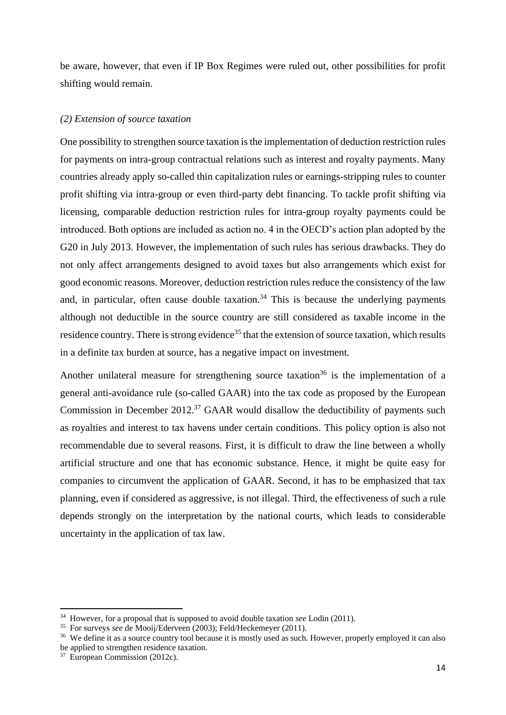be aware, however, that even if IP Box Regimes were ruled out, other possibilities for profit shifting would remain.

#### *(2) Extension of source taxation*

One possibility to strengthen source taxation is the implementation of deduction restriction rules for payments on intra-group contractual relations such as interest and royalty payments. Many countries already apply so-called thin capitalization rules or earnings-stripping rules to counter profit shifting via intra-group or even third-party debt financing. To tackle profit shifting via licensing, comparable deduction restriction rules for intra-group royalty payments could be introduced. Both options are included as action no. 4 in the OECD's action plan adopted by the G20 in July 2013. However, the implementation of such rules has serious drawbacks. They do not only affect arrangements designed to avoid taxes but also arrangements which exist for good economic reasons. Moreover, deduction restriction rules reduce the consistency of the law and, in particular, often cause double taxation.<sup>34</sup> This is because the underlying payments although not deductible in the source country are still considered as taxable income in the residence country. There is strong evidence<sup>35</sup> that the extension of source taxation, which results in a definite tax burden at source, has a negative impact on investment.

Another unilateral measure for strengthening source taxation<sup>36</sup> is the implementation of a general anti-avoidance rule (so-called GAAR) into the tax code as proposed by the European Commission in December 2012.<sup>37</sup> GAAR would disallow the deductibility of payments such as royalties and interest to tax havens under certain conditions. This policy option is also not recommendable due to several reasons. First, it is difficult to draw the line between a wholly artificial structure and one that has economic substance. Hence, it might be quite easy for companies to circumvent the application of GAAR. Second, it has to be emphasized that tax planning, even if considered as aggressive, is not illegal. Third, the effectiveness of such a rule depends strongly on the interpretation by the national courts, which leads to considerable uncertainty in the application of tax law.

<sup>34</sup> However, for a proposal that is supposed to avoid double taxation *see* Lodin (2011).

<sup>35</sup> For surveys *see* de Mooij/Ederveen (2003); Feld/Heckemeyer (2011).

<sup>&</sup>lt;sup>36</sup> We define it as a source country tool because it is mostly used as such. However, properly employed it can also be applied to strengthen residence taxation.

<sup>37</sup> European Commission (2012c).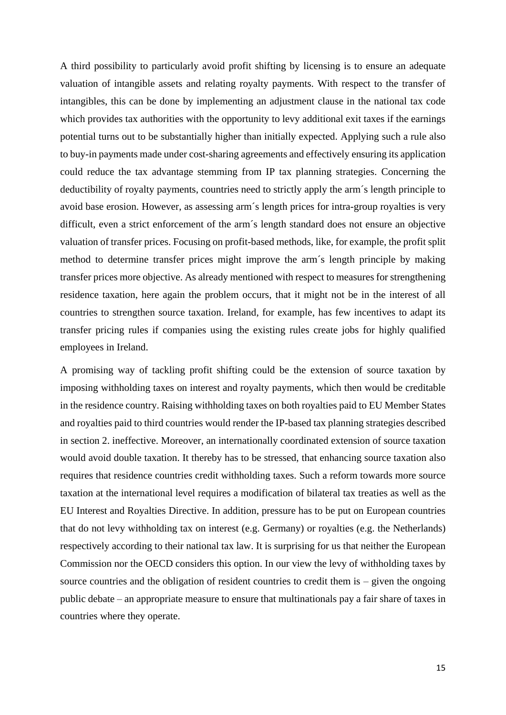A third possibility to particularly avoid profit shifting by licensing is to ensure an adequate valuation of intangible assets and relating royalty payments. With respect to the transfer of intangibles, this can be done by implementing an adjustment clause in the national tax code which provides tax authorities with the opportunity to levy additional exit taxes if the earnings potential turns out to be substantially higher than initially expected. Applying such a rule also to buy-in payments made under cost-sharing agreements and effectively ensuring its application could reduce the tax advantage stemming from IP tax planning strategies. Concerning the deductibility of royalty payments, countries need to strictly apply the arm´s length principle to avoid base erosion. However, as assessing arm´s length prices for intra-group royalties is very difficult, even a strict enforcement of the arm´s length standard does not ensure an objective valuation of transfer prices. Focusing on profit-based methods, like, for example, the profit split method to determine transfer prices might improve the arm´s length principle by making transfer prices more objective. As already mentioned with respect to measures for strengthening residence taxation, here again the problem occurs, that it might not be in the interest of all countries to strengthen source taxation. Ireland, for example, has few incentives to adapt its transfer pricing rules if companies using the existing rules create jobs for highly qualified employees in Ireland.

A promising way of tackling profit shifting could be the extension of source taxation by imposing withholding taxes on interest and royalty payments, which then would be creditable in the residence country. Raising withholding taxes on both royalties paid to EU Member States and royalties paid to third countries would render the IP-based tax planning strategies described in section 2. ineffective. Moreover, an internationally coordinated extension of source taxation would avoid double taxation. It thereby has to be stressed, that enhancing source taxation also requires that residence countries credit withholding taxes. Such a reform towards more source taxation at the international level requires a modification of bilateral tax treaties as well as the EU Interest and Royalties Directive. In addition, pressure has to be put on European countries that do not levy withholding tax on interest (e.g. Germany) or royalties (e.g. the Netherlands) respectively according to their national tax law. It is surprising for us that neither the European Commission nor the OECD considers this option. In our view the levy of withholding taxes by source countries and the obligation of resident countries to credit them is – given the ongoing public debate – an appropriate measure to ensure that multinationals pay a fair share of taxes in countries where they operate.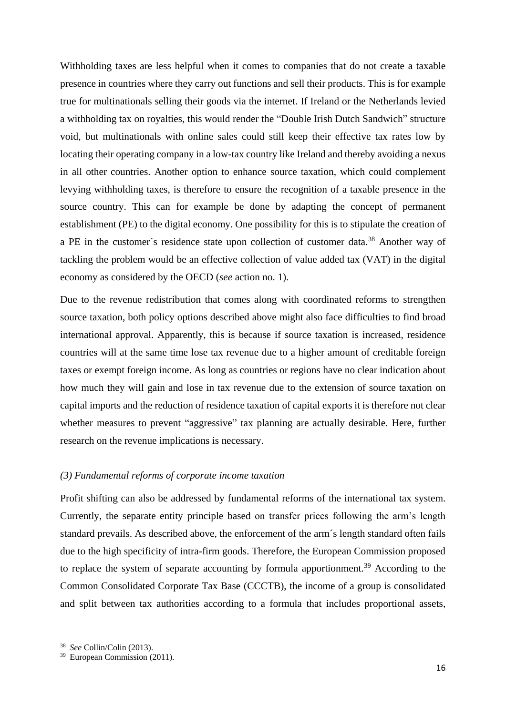Withholding taxes are less helpful when it comes to companies that do not create a taxable presence in countries where they carry out functions and sell their products. This is for example true for multinationals selling their goods via the internet. If Ireland or the Netherlands levied a withholding tax on royalties, this would render the "Double Irish Dutch Sandwich" structure void, but multinationals with online sales could still keep their effective tax rates low by locating their operating company in a low-tax country like Ireland and thereby avoiding a nexus in all other countries. Another option to enhance source taxation, which could complement levying withholding taxes, is therefore to ensure the recognition of a taxable presence in the source country. This can for example be done by adapting the concept of permanent establishment (PE) to the digital economy. One possibility for this is to stipulate the creation of a PE in the customer's residence state upon collection of customer data.<sup>38</sup> Another way of tackling the problem would be an effective collection of value added tax (VAT) in the digital economy as considered by the OECD (*see* action no. 1).

Due to the revenue redistribution that comes along with coordinated reforms to strengthen source taxation, both policy options described above might also face difficulties to find broad international approval. Apparently, this is because if source taxation is increased, residence countries will at the same time lose tax revenue due to a higher amount of creditable foreign taxes or exempt foreign income. As long as countries or regions have no clear indication about how much they will gain and lose in tax revenue due to the extension of source taxation on capital imports and the reduction of residence taxation of capital exports it is therefore not clear whether measures to prevent "aggressive" tax planning are actually desirable. Here, further research on the revenue implications is necessary.

#### *(3) Fundamental reforms of corporate income taxation*

Profit shifting can also be addressed by fundamental reforms of the international tax system. Currently, the separate entity principle based on transfer prices following the arm's length standard prevails. As described above, the enforcement of the arm´s length standard often fails due to the high specificity of intra-firm goods. Therefore, the European Commission proposed to replace the system of separate accounting by formula apportionment.<sup>39</sup> According to the Common Consolidated Corporate Tax Base (CCCTB), the income of a group is consolidated and split between tax authorities according to a formula that includes proportional assets,

<sup>38</sup> *See* Collin/Colin (2013).

<sup>39</sup> European Commission (2011).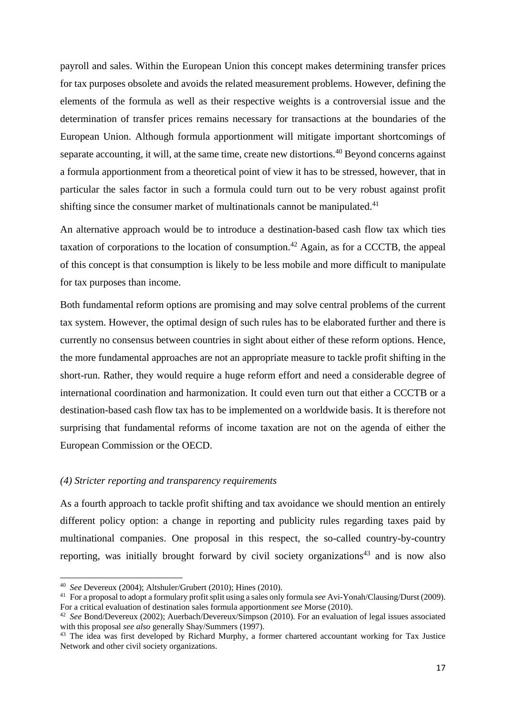payroll and sales. Within the European Union this concept makes determining transfer prices for tax purposes obsolete and avoids the related measurement problems. However, defining the elements of the formula as well as their respective weights is a controversial issue and the determination of transfer prices remains necessary for transactions at the boundaries of the European Union. Although formula apportionment will mitigate important shortcomings of separate accounting, it will, at the same time, create new distortions.<sup>40</sup> Beyond concerns against a formula apportionment from a theoretical point of view it has to be stressed, however, that in particular the sales factor in such a formula could turn out to be very robust against profit shifting since the consumer market of multinationals cannot be manipulated.<sup>41</sup>

An alternative approach would be to introduce a destination-based cash flow tax which ties taxation of corporations to the location of consumption.<sup>42</sup> Again, as for a CCCTB, the appeal of this concept is that consumption is likely to be less mobile and more difficult to manipulate for tax purposes than income.

Both fundamental reform options are promising and may solve central problems of the current tax system. However, the optimal design of such rules has to be elaborated further and there is currently no consensus between countries in sight about either of these reform options. Hence, the more fundamental approaches are not an appropriate measure to tackle profit shifting in the short-run. Rather, they would require a huge reform effort and need a considerable degree of international coordination and harmonization. It could even turn out that either a CCCTB or a destination-based cash flow tax has to be implemented on a worldwide basis. It is therefore not surprising that fundamental reforms of income taxation are not on the agenda of either the European Commission or the OECD.

#### *(4) Stricter reporting and transparency requirements*

As a fourth approach to tackle profit shifting and tax avoidance we should mention an entirely different policy option: a change in reporting and publicity rules regarding taxes paid by multinational companies. One proposal in this respect, the so-called country-by-country reporting, was initially brought forward by civil society organizations<sup>43</sup> and is now also

**.** 

<sup>40</sup> *See* Devereux (2004); Altshuler/Grubert (2010); Hines (2010).

<sup>41</sup> For a proposal to adopt a formulary profit split using a sales only formula *see* Avi-Yonah/Clausing/Durst (2009). For a critical evaluation of destination sales formula apportionment *see* Morse (2010).

<sup>42</sup> *See* Bond/Devereux (2002); Auerbach/Devereux/Simpson (2010). For an evaluation of legal issues associated with this proposal *see also* generally Shay/Summers (1997).

<sup>&</sup>lt;sup>43</sup> The idea was first developed by Richard Murphy, a former chartered accountant working for Tax Justice Network and other civil society organizations.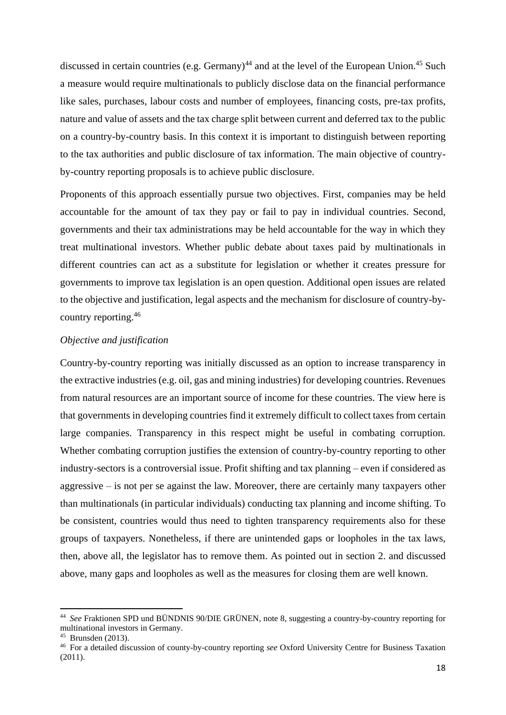discussed in certain countries (e.g. Germany)<sup>44</sup> and at the level of the European Union.<sup>45</sup> Such a measure would require multinationals to publicly disclose data on the financial performance like sales, purchases, labour costs and number of employees, financing costs, pre-tax profits, nature and value of assets and the tax charge split between current and deferred tax to the public on a country-by-country basis. In this context it is important to distinguish between reporting to the tax authorities and public disclosure of tax information. The main objective of countryby-country reporting proposals is to achieve public disclosure.

Proponents of this approach essentially pursue two objectives. First, companies may be held accountable for the amount of tax they pay or fail to pay in individual countries. Second, governments and their tax administrations may be held accountable for the way in which they treat multinational investors. Whether public debate about taxes paid by multinationals in different countries can act as a substitute for legislation or whether it creates pressure for governments to improve tax legislation is an open question. Additional open issues are related to the objective and justification, legal aspects and the mechanism for disclosure of country-bycountry reporting.<sup>46</sup>

## *Objective and justification*

Country-by-country reporting was initially discussed as an option to increase transparency in the extractive industries (e.g. oil, gas and mining industries) for developing countries. Revenues from natural resources are an important source of income for these countries. The view here is that governments in developing countries find it extremely difficult to collect taxes from certain large companies. Transparency in this respect might be useful in combating corruption. Whether combating corruption justifies the extension of country-by-country reporting to other industry-sectors is a controversial issue. Profit shifting and tax planning – even if considered as aggressive – is not per se against the law. Moreover, there are certainly many taxpayers other than multinationals (in particular individuals) conducting tax planning and income shifting. To be consistent, countries would thus need to tighten transparency requirements also for these groups of taxpayers. Nonetheless, if there are unintended gaps or loopholes in the tax laws, then, above all, the legislator has to remove them. As pointed out in section 2. and discussed above, many gaps and loopholes as well as the measures for closing them are well known.

<sup>44</sup> *See* Fraktionen SPD und BÜNDNIS 90/DIE GRÜNEN, note 8, suggesting a country-by-country reporting for multinational investors in Germany.

 $45$  Brunsden (2013).

<sup>46</sup> For a detailed discussion of county-by-country reporting *see* Oxford University Centre for Business Taxation (2011).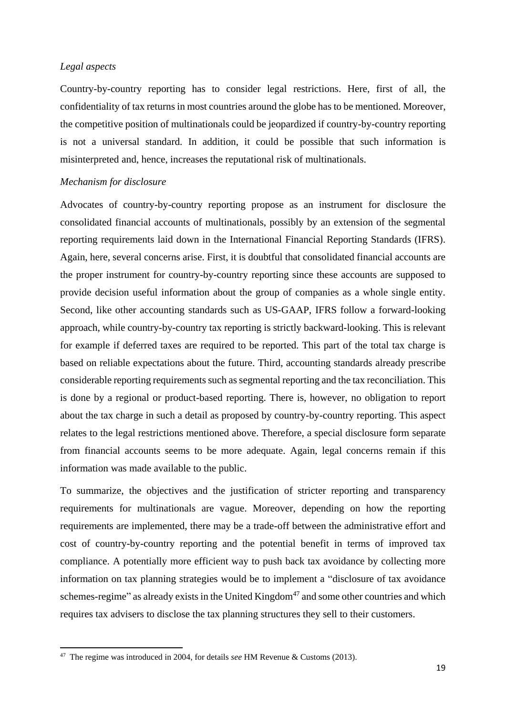#### *Legal aspects*

**.** 

Country-by-country reporting has to consider legal restrictions. Here, first of all, the confidentiality of tax returns in most countries around the globe has to be mentioned. Moreover, the competitive position of multinationals could be jeopardized if country-by-country reporting is not a universal standard. In addition, it could be possible that such information is misinterpreted and, hence, increases the reputational risk of multinationals.

### *Mechanism for disclosure*

Advocates of country-by-country reporting propose as an instrument for disclosure the consolidated financial accounts of multinationals, possibly by an extension of the segmental reporting requirements laid down in the International Financial Reporting Standards (IFRS). Again, here, several concerns arise. First, it is doubtful that consolidated financial accounts are the proper instrument for country-by-country reporting since these accounts are supposed to provide decision useful information about the group of companies as a whole single entity. Second, like other accounting standards such as US-GAAP, IFRS follow a forward-looking approach, while country-by-country tax reporting is strictly backward-looking. This is relevant for example if deferred taxes are required to be reported. This part of the total tax charge is based on reliable expectations about the future. Third, accounting standards already prescribe considerable reporting requirements such as segmental reporting and the tax reconciliation. This is done by a regional or product-based reporting. There is, however, no obligation to report about the tax charge in such a detail as proposed by country-by-country reporting. This aspect relates to the legal restrictions mentioned above. Therefore, a special disclosure form separate from financial accounts seems to be more adequate. Again, legal concerns remain if this information was made available to the public.

To summarize, the objectives and the justification of stricter reporting and transparency requirements for multinationals are vague. Moreover, depending on how the reporting requirements are implemented, there may be a trade-off between the administrative effort and cost of country-by-country reporting and the potential benefit in terms of improved tax compliance. A potentially more efficient way to push back tax avoidance by collecting more information on tax planning strategies would be to implement a "disclosure of tax avoidance schemes-regime" as already exists in the United Kingdom<sup>47</sup> and some other countries and which requires tax advisers to disclose the tax planning structures they sell to their customers.

<sup>47</sup> The regime was introduced in 2004, for details *see* HM Revenue & Customs (2013).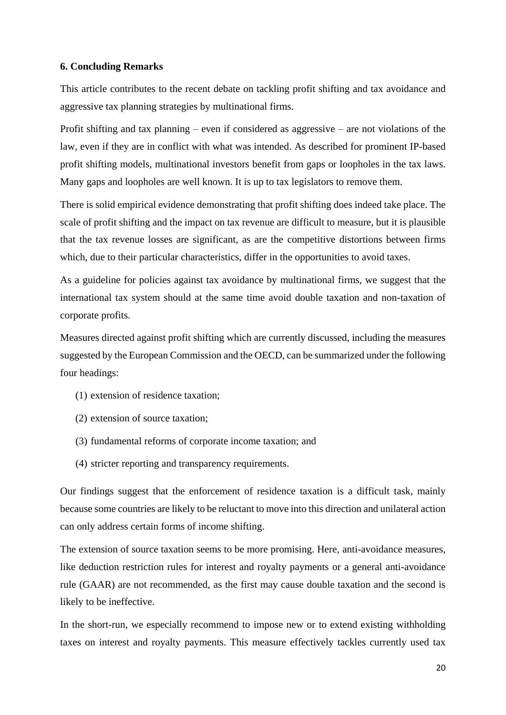#### **6. Concluding Remarks**

This article contributes to the recent debate on tackling profit shifting and tax avoidance and aggressive tax planning strategies by multinational firms.

Profit shifting and tax planning – even if considered as aggressive – are not violations of the law, even if they are in conflict with what was intended. As described for prominent IP-based profit shifting models, multinational investors benefit from gaps or loopholes in the tax laws. Many gaps and loopholes are well known. It is up to tax legislators to remove them.

There is solid empirical evidence demonstrating that profit shifting does indeed take place. The scale of profit shifting and the impact on tax revenue are difficult to measure, but it is plausible that the tax revenue losses are significant, as are the competitive distortions between firms which, due to their particular characteristics, differ in the opportunities to avoid taxes.

As a guideline for policies against tax avoidance by multinational firms, we suggest that the international tax system should at the same time avoid double taxation and non-taxation of corporate profits.

Measures directed against profit shifting which are currently discussed, including the measures suggested by the European Commission and the OECD, can be summarized under the following four headings:

- (1) extension of residence taxation;
- (2) extension of source taxation;
- (3) fundamental reforms of corporate income taxation; and
- (4) stricter reporting and transparency requirements.

Our findings suggest that the enforcement of residence taxation is a difficult task, mainly because some countries are likely to be reluctant to move into this direction and unilateral action can only address certain forms of income shifting.

The extension of source taxation seems to be more promising. Here, anti-avoidance measures, like deduction restriction rules for interest and royalty payments or a general anti-avoidance rule (GAAR) are not recommended, as the first may cause double taxation and the second is likely to be ineffective.

In the short-run, we especially recommend to impose new or to extend existing withholding taxes on interest and royalty payments. This measure effectively tackles currently used tax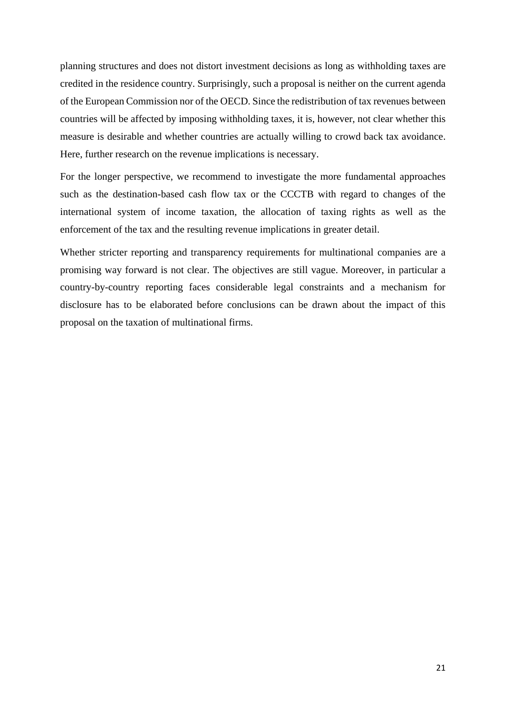planning structures and does not distort investment decisions as long as withholding taxes are credited in the residence country. Surprisingly, such a proposal is neither on the current agenda of the European Commission nor of the OECD. Since the redistribution of tax revenues between countries will be affected by imposing withholding taxes, it is, however, not clear whether this measure is desirable and whether countries are actually willing to crowd back tax avoidance. Here, further research on the revenue implications is necessary.

For the longer perspective, we recommend to investigate the more fundamental approaches such as the destination-based cash flow tax or the CCCTB with regard to changes of the international system of income taxation, the allocation of taxing rights as well as the enforcement of the tax and the resulting revenue implications in greater detail.

Whether stricter reporting and transparency requirements for multinational companies are a promising way forward is not clear. The objectives are still vague. Moreover, in particular a country-by-country reporting faces considerable legal constraints and a mechanism for disclosure has to be elaborated before conclusions can be drawn about the impact of this proposal on the taxation of multinational firms.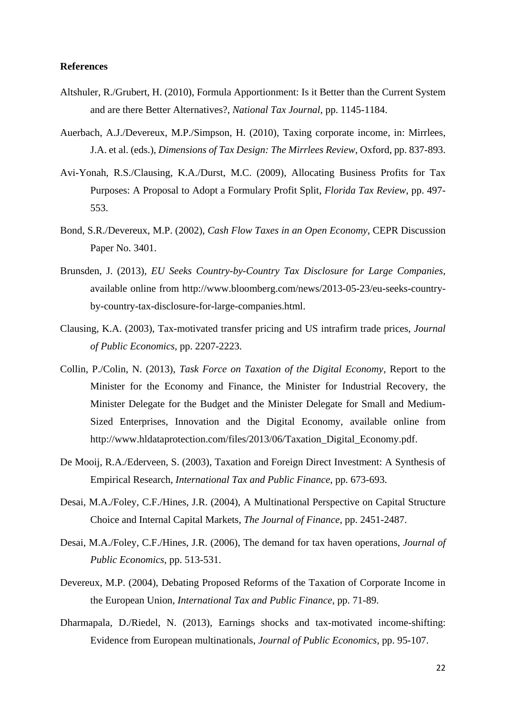#### **References**

- Altshuler, R./Grubert, H. (2010), Formula Apportionment: Is it Better than the Current System and are there Better Alternatives?, *National Tax Journal*, pp. 1145-1184.
- Auerbach, A.J./Devereux, M.P./Simpson, H. (2010), Taxing corporate income, in: Mirrlees, J.A. et al. (eds.), *Dimensions of Tax Design: The Mirrlees Review*, Oxford, pp. 837-893.
- Avi-Yonah, R.S./Clausing, K.A./Durst, M.C. (2009), Allocating Business Profits for Tax Purposes: A Proposal to Adopt a Formulary Profit Split, *Florida Tax Review*, pp. 497- 553.
- Bond, S.R./Devereux, M.P. (2002), *Cash Flow Taxes in an Open Economy*, CEPR Discussion Paper No. 3401.
- Brunsden, J. (2013), *EU Seeks Country-by-Country Tax Disclosure for Large Companies*, available online from http://www.bloomberg.com/news/2013-05-23/eu-seeks-countryby-country-tax-disclosure-for-large-companies.html.
- Clausing, K.A. (2003), Tax-motivated transfer pricing and US intrafirm trade prices, *Journal of Public Economics*, pp. 2207-2223.
- Collin, P./Colin, N. (2013), *Task Force on Taxation of the Digital Economy*, Report to the Minister for the Economy and Finance, the Minister for Industrial Recovery, the Minister Delegate for the Budget and the Minister Delegate for Small and Medium-Sized Enterprises, Innovation and the Digital Economy, available online from http://www.hldataprotection.com/files/2013/06/Taxation\_Digital\_Economy.pdf.
- De Mooij, R.A./Ederveen, S. (2003), Taxation and Foreign Direct Investment: A Synthesis of Empirical Research, *International Tax and Public Finance*, pp. 673-693.
- Desai, M.A./Foley, C.F./Hines, J.R. (2004), A Multinational Perspective on Capital Structure Choice and Internal Capital Markets, *The Journal of Finance*, pp. 2451-2487.
- Desai, M.A./Foley, C.F./Hines, J.R. (2006), The demand for tax haven operations, *Journal of Public Economics*, pp. 513-531.
- Devereux, M.P. (2004), Debating Proposed Reforms of the Taxation of Corporate Income in the European Union, *International Tax and Public Finance*, pp. 71-89.
- Dharmapala, D./Riedel, N. (2013), Earnings shocks and tax-motivated income-shifting: Evidence from European multinationals, *Journal of Public Economics*, pp. 95-107.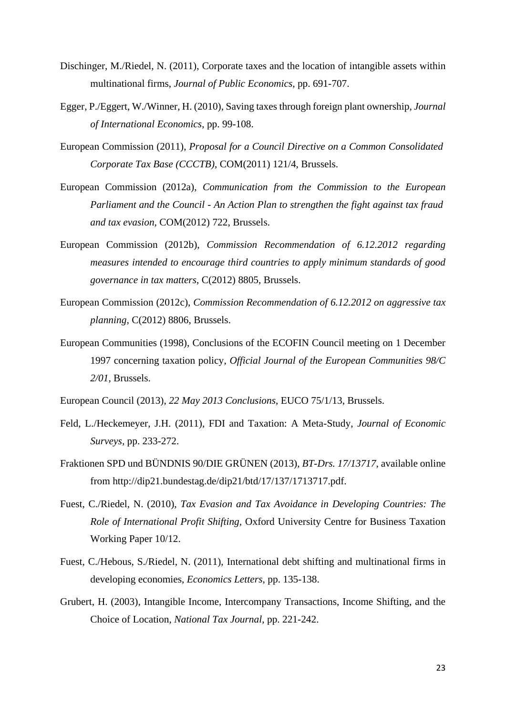- Dischinger, M./Riedel, N. (2011), Corporate taxes and the location of intangible assets within multinational firms, *Journal of Public Economics*, pp. 691-707.
- Egger, P./Eggert, W./Winner, H. (2010), Saving taxes through foreign plant ownership, *Journal of International Economics*, pp. 99-108.
- European Commission (2011), *Proposal for a Council Directive on a Common Consolidated Corporate Tax Base (CCCTB)*, COM(2011) 121/4, Brussels.
- European Commission (2012a), *Communication from the Commission to the European Parliament and the Council - An Action Plan to strengthen the fight against tax fraud and tax evasion,* COM(2012) 722, Brussels.
- European Commission (2012b), *Commission Recommendation of 6.12.2012 regarding measures intended to encourage third countries to apply minimum standards of good governance in tax matters*, C(2012) 8805, Brussels.
- European Commission (2012c), *Commission Recommendation of 6.12.2012 on aggressive tax planning*, C(2012) 8806, Brussels.
- European Communities (1998), Conclusions of the ECOFIN Council meeting on 1 December 1997 concerning taxation policy, *Official Journal of the European Communities 98/C 2/01*, Brussels.
- European Council (2013), *22 May 2013 Conclusions*, EUCO 75/1/13, Brussels.
- Feld, L./Heckemeyer, J.H. (2011), FDI and Taxation: A Meta-Study, *Journal of Economic Surveys,* pp. 233-272.
- Fraktionen SPD und BÜNDNIS 90/DIE GRÜNEN (2013), *BT-Drs. 17/13717*, available online from http://dip21.bundestag.de/dip21/btd/17/137/1713717.pdf.
- Fuest, C./Riedel, N. (2010), *Tax Evasion and Tax Avoidance in Developing Countries: The Role of International Profit Shifting,* Oxford University Centre for Business Taxation Working Paper 10/12.
- Fuest, C./Hebous, S./Riedel, N. (2011), International debt shifting and multinational firms in developing economies, *Economics Letters*, pp. 135-138.
- Grubert, H. (2003), Intangible Income, Intercompany Transactions, Income Shifting, and the Choice of Location, *National Tax Journal*, pp. 221-242.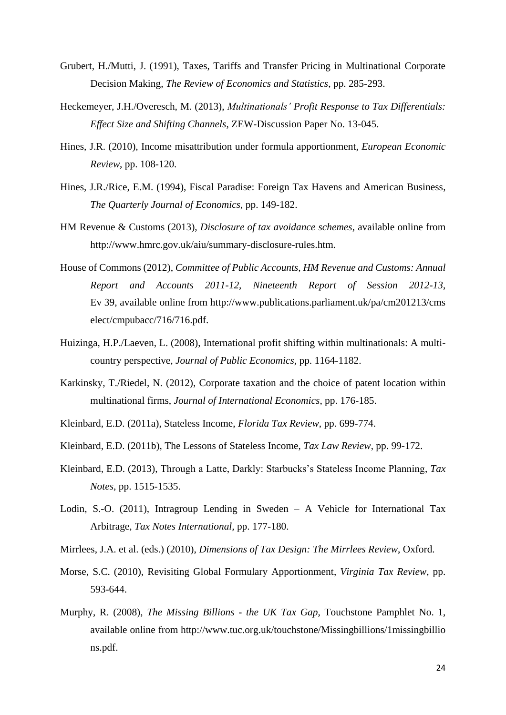- Grubert, H./Mutti, J. (1991), Taxes, Tariffs and Transfer Pricing in Multinational Corporate Decision Making, *The Review of Economics and Statistics*, pp. 285-293.
- Heckemeyer, J.H./Overesch, M. (2013), *Multinationals' Profit Response to Tax Differentials: Effect Size and Shifting Channels*, ZEW-Discussion Paper No. 13-045.
- Hines, J.R. (2010), Income misattribution under formula apportionment, *European Economic Review*, pp. 108-120.
- Hines, J.R./Rice, E.M. (1994), Fiscal Paradise: Foreign Tax Havens and American Business, *The Quarterly Journal of Economics*, pp. 149-182.
- HM Revenue & Customs (2013), *Disclosure of tax avoidance schemes*, available online from http://www.hmrc.gov.uk/aiu/summary-disclosure-rules.htm.
- House of Commons (2012), *Committee of Public Accounts, HM Revenue and Customs: Annual Report and Accounts 2011-12, Nineteenth Report of Session 2012-13*, Ev 39, available online from [http://www.publications.parliament.uk/pa/cm201213/cms](http://www.publications.parliament.uk/pa/cm201213/cmselect/cmpubacc/716/716.pdf) [elect/cmpubacc/716/716.pdf.](http://www.publications.parliament.uk/pa/cm201213/cmselect/cmpubacc/716/716.pdf)
- Huizinga, H.P./Laeven, L. (2008), International profit shifting within multinationals: A multicountry perspective, *Journal of Public Economics*, pp. 1164-1182.
- Karkinsky, T./Riedel, N. (2012), Corporate taxation and the choice of patent location within multinational firms, *Journal of International Economics*, pp. 176-185.
- Kleinbard, E.D. (2011a), Stateless Income, *Florida Tax Review*, pp. 699-774.
- Kleinbard, E.D. (2011b), The Lessons of Stateless Income, *Tax Law Review*, pp. 99-172.
- Kleinbard, E.D. (2013), Through a Latte, Darkly: Starbucks's Stateless Income Planning, *Tax Notes*, pp. 1515-1535.
- Lodin, S.-O. (2011), Intragroup Lending in Sweden A Vehicle for International Tax Arbitrage, *Tax Notes International,* pp. 177-180.
- Mirrlees, J.A. et al. (eds.) (2010), *Dimensions of Tax Design: The Mirrlees Review*, Oxford.
- Morse, S.C. (2010), Revisiting Global Formulary Apportionment, *Virginia Tax Review*, pp. 593-644.
- Murphy, R. (2008), *The Missing Billions - the UK Tax Gap*, Touchstone Pamphlet No. 1, available online from [http://www.tuc.org.uk/touchstone/Missingbillions/1missingbillio](http://www.tuc.org.uk/touchstone/Missingbillions/1missingbillions.pdf) [ns.pdf.](http://www.tuc.org.uk/touchstone/Missingbillions/1missingbillions.pdf)